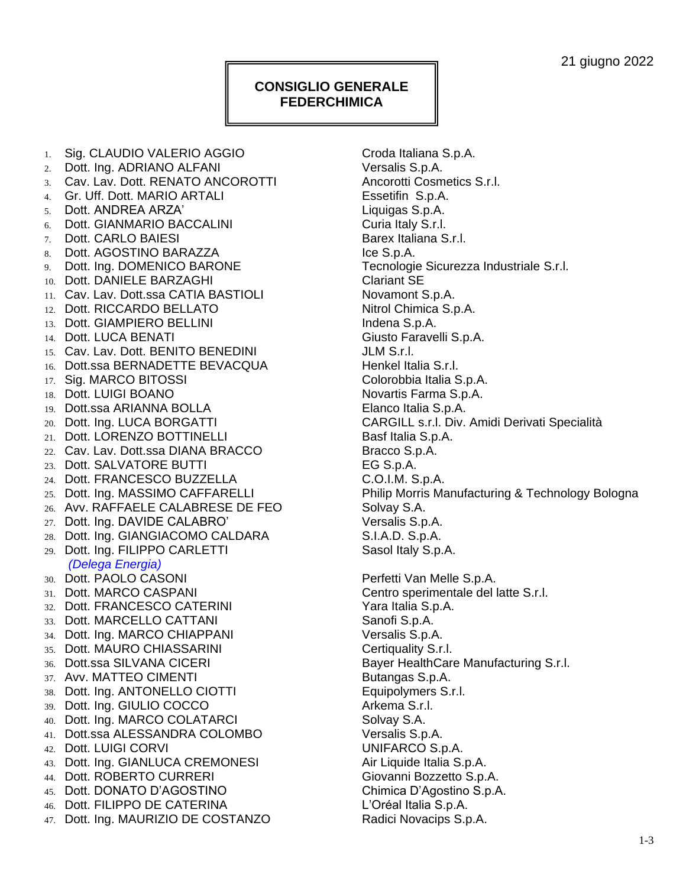## **CONSIGLIO GENERALE FEDERCHIMICA**

1. Sig. CLAUDIO VALERIO AGGIO Croda Italiana S.p.A. 2. Dott. Ing. ADRIANO ALFANI Versalis S.p.A. 3. Cav. Lav. Dott. RENATO ANCOROTTI Ancorotti Cosmetics S.r.l. 4. Gr. Uff. Dott. MARIO ARTALI Essetifin S.p.A. 5. Dott. ANDREA ARZA' Liquigas S.p.A. 6. Dott. GIANMARIO BACCALINI Curia Italy S.r.l. 7. Dott. CARLO BAIESI Barex Italiana S.r.l. 8. Dott. AGOSTINO BARAZZA ICE S.p.A. 9. Dott. Ing. DOMENICO BARONE Tecnologie Sicurezza Industriale S.r.l. 10. Dott. DANIELE BARZAGHI Clariant SE 11. Cav. Lav. Dott.ssa CATIA BASTIOLI Novamont S.p.A. 12. Dott. RICCARDO BELLATO Nitrol Chimica S.p.A. 13. Dott. GIAMPIERO BELLINI **Indena S.p.A.** 14. Dott. LUCA BENATI Giusto Faravelli S.p.A. 15. Cav. Lav. Dott. BENITO BENEDINI JLM S.r.l. 16. Dott.ssa BERNADETTE BEVACQUA henkel Italia S.r.l. 17. Sig. MARCO BITOSSI Colorobbia Italia S.p.A. 18. Dott. LUIGI BOANO Novartis Farma S.p.A. 19. Dott.ssa ARIANNA BOLLA Elanco Italia S.p.A. 21. Dott. LORENZO BOTTINELLI Basf Italia S.p.A. 22. Cav. Lav. Dott.ssa DIANA BRACCO Bracco S.p.A. 23. Dott. SALVATORE BUTTI EG S.p.A. 24. Dott. FRANCESCO BUZZELLA C.O.I.M. S.p.A. 26. Avv. RAFFAELE CALABRESE DE FEO Solvay S.A. 27. Dott. Ing. DAVIDE CALABRO' Versalis S.p.A. 28. Dott. Ing. GIANGIACOMO CALDARA S.I.A.D. S.p.A. 29. Dott. Ing. FILIPPO CARLETTI Sasol Italy S.p.A. *(Delega Energia)* 30. Dott. PAOLO CASONI Perfetti Van Melle S.p.A. 31. Dott. MARCO CASPANI Centro sperimentale del latte S.r.l. 32. Dott. FRANCESCO CATERINI **FRANCESCO CATERINI** Yara Italia S.p.A. 33. Dott. MARCELLO CATTANI Sanofi S.p.A. 34. Dott. Ing. MARCO CHIAPPANI Versalis S.p.A. 35. Dott. MAURO CHIASSARINI CHIASSARINI Certiquality S.r.l. 36. Dott.ssa SILVANA CICERI Bayer HealthCare Manufacturing S.r.l. 37. Avv. MATTEO CIMENTI Butangas S.p.A. 38. Dott. Ing. ANTONELLO CIOTTI Equipolymers S.r.l. 39. Dott. Ing. GIULIO COCCO Arkema S.r.l. 40. Dott. Ing. MARCO COLATARCI Solvay S.A. 41. Dott.ssa ALESSANDRA COLOMBO Versalis S.p.A. 42. Dott. LUIGI CORVI UNIFARCO S.p.A. 43. Dott. Ing. GIANLUCA CREMONESI **Air Liquide Italia S.p.A.** 44. Dott. ROBERTO CURRERI Giovanni Bozzetto S.p.A. 45. Dott. DONATO D'AGOSTINO Chimica D'Agostino S.p.A. 46. Dott. FILIPPO DE CATERINA L'Oréal Italia S.p.A.

20. Dott. Ing. LUCA BORGATTI CARGILL s.r.l. Div. Amidi Derivati Specialità 25. Dott. Ing. MASSIMO CAFFARELLI Philip Morris Manufacturing & Technology Bologna 47. Dott. Ing. MAURIZIO DE COSTANZO Radici Novacips S.p.A.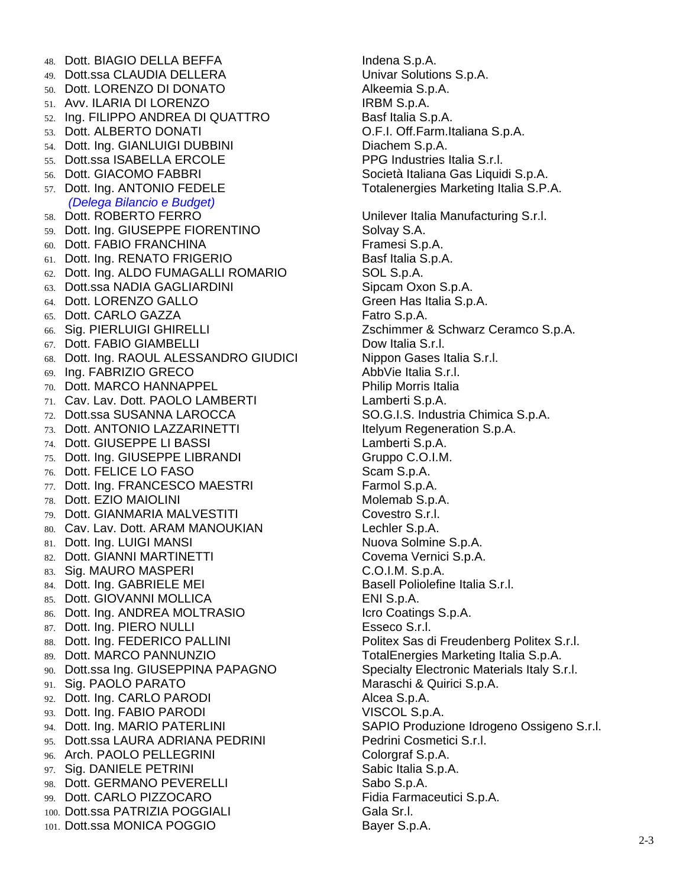48. Dott. BIAGIO DELLA BEFFA **Indena S.p.A.** 49. Dott.ssa CLAUDIA DELLERA Univar Solutions S.p.A. 50. Dott. LORENZO DI DONATO **Alkeemia S.p.A.** 51. Avv. ILARIA DI LORENZO INTERNATIONALE SERBIA. 52. Ing. FILIPPO ANDREA DI QUATTRO Basf Italia S.p.A. 53. Dott. ALBERTO DONATI O.F.I. Off.Farm.Italiana S.p.A. 54. Dott. Ing. GIANLUIGI DUBBINI DIACHEM S.p.A. 55. Dott.ssa ISABELLA ERCOLE PPG Industries Italia S.r.l. 56. Dott. GIACOMO FABBRI Società Italiana Gas Liquidi S.p.A. 57. Dott. Ing. ANTONIO FEDELE The Totalenergies Marketing Italia S.P.A. *(Delega Bilancio e Budget)* 58. Dott. ROBERTO FERRO Unilever Italia Manufacturing S.r.l. 59. Dott. Ing. GIUSEPPE FIORENTINO Solvay S.A. 60. Dott. FABIO FRANCHINA FRAMELIA FRAMESI S.p.A. 61. Dott. Ing. RENATO FRIGERIO Basf Italia S.p.A. 62. Dott. Ing. ALDO FUMAGALLI ROMARIO SOL S.p.A. 63. Dott.ssa NADIA GAGLIARDINI Sipcam Oxon S.p.A. 64. Dott. LORENZO GALLO Green Has Italia S.p.A. 65. Dott. CARLO GAZZA Fatro S.p.A. 66. Sig. PIERLUIGI GHIRELLI Zschimmer & Schwarz Ceramco S.p.A. 67. Dott. FABIO GIAMBELLI DOW Italia S.r.l. 68. Dott. Ing. RAOUL ALESSANDRO GIUDICI Nippon Gases Italia S.r.l. 69. Ing. FABRIZIO GRECO AbbVie Italia S.r.l. 70. Dott. MARCO HANNAPPEL Philip Morris Italia 71. Cav. Lav. Dott. PAOLO LAMBERTI Lamberti S.p.A. 72. Dott.ssa SUSANNA LAROCCA SO.G.I.S. Industria Chimica S.p.A. 73. Dott. ANTONIO LAZZARINETTI **Itelyum Regeneration S.p.A.** 74. Dott. GIUSEPPE LI BASSI Lamberti S.p.A. 75. Dott. Ing. GIUSEPPE LIBRANDI Gruppo C.O.I.M. 76. Dott. FELICE LO FASO Scam S.p.A. 77. Dott. Ing. FRANCESCO MAESTRI Farmol S.p.A. 78. Dott. EZIO MAIOLINI Molemab S.p.A. 79. Dott. GIANMARIA MALVESTITI Covestro S.r.l. 80. Cav. Lav. Dott. ARAM MANOUKIAN Lechler S.p.A. 81. Dott. Ing. LUIGI MANSI Nuova Solmine S.p.A. 82. Dott. GIANNI MARTINETTI COVEMA Vernici S.p.A. 83. Sig. MAURO MASPERI C.O.I.M. S.p.A. 84. Dott. Ing. GABRIELE MEI Basell Poliolefine Italia S.r.l. 85. Dott. GIOVANNI MOLLICA ENI S.p.A. 86. Dott. Ing. ANDREA MOLTRASIO **Icro Coatings S.p.A.** 87. Dott. Ing. PIERO NULLI Esseco S.r.l. 88. Dott. Ing. FEDERICO PALLINI Politex Sas di Freudenberg Politex S.r.l. 89. Dott. MARCO PANNUNZIO TOTAL TOTALEnergies Marketing Italia S.p.A. 90. Dott.ssa Ing. GIUSEPPINA PAPAGNO Specialty Electronic Materials Italy S.r.l. 91. Sig. PAOLO PARATO **Maraschi & Quirici S.p.A.** 92. Dott. Ing. CARLO PARODI BROOM Alcea S.p.A. 93. Dott. Ing. FABIO PARODI VISCOL S.p.A. 94. Dott. Ing. MARIO PATERLINI SAPIO Produzione Idrogeno Ossigeno S.r.l. 95. Dott.ssa LAURA ADRIANA PEDRINI Pedrini Cosmetici S.r.l. 96. Arch. PAOLO PELLEGRINI Colorgraf S.p.A. 97. Sig. DANIELE PETRINI Sabic Italia S.p.A. 98. Dott. GERMANO PEVERELLI Sabo S.p.A. 99. Dott. CARLO PIZZOCARO **Fidia Farmaceutici S.p.A.** 100. Dott.ssa PATRIZIA POGGIALI Gala Sr.l. 101. Dott.ssa MONICA POGGIO Bayer S.p.A.